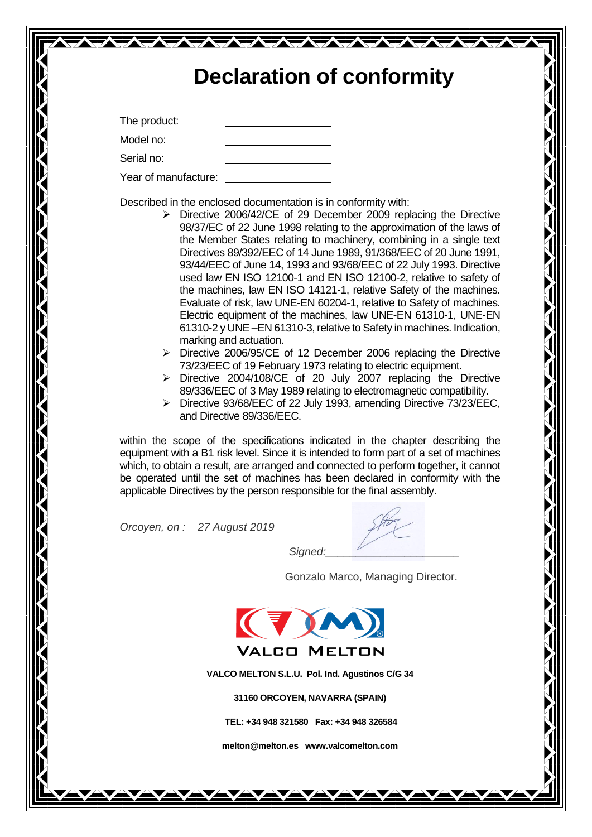|                                                                                                                                                                                                                                                                                                                                                                                                                                                                                                                                                                                                                                                                                                                                                                                                                                                                                                                                                                                                                  |                                                | <b>Declaration of conformity</b>  |  |
|------------------------------------------------------------------------------------------------------------------------------------------------------------------------------------------------------------------------------------------------------------------------------------------------------------------------------------------------------------------------------------------------------------------------------------------------------------------------------------------------------------------------------------------------------------------------------------------------------------------------------------------------------------------------------------------------------------------------------------------------------------------------------------------------------------------------------------------------------------------------------------------------------------------------------------------------------------------------------------------------------------------|------------------------------------------------|-----------------------------------|--|
| The product:                                                                                                                                                                                                                                                                                                                                                                                                                                                                                                                                                                                                                                                                                                                                                                                                                                                                                                                                                                                                     |                                                |                                   |  |
| Model no:                                                                                                                                                                                                                                                                                                                                                                                                                                                                                                                                                                                                                                                                                                                                                                                                                                                                                                                                                                                                        |                                                |                                   |  |
| Serial no:                                                                                                                                                                                                                                                                                                                                                                                                                                                                                                                                                                                                                                                                                                                                                                                                                                                                                                                                                                                                       |                                                |                                   |  |
| Year of manufacture:                                                                                                                                                                                                                                                                                                                                                                                                                                                                                                                                                                                                                                                                                                                                                                                                                                                                                                                                                                                             |                                                |                                   |  |
| the Member States relating to machinery, combining in a single text<br>Directives 89/392/EEC of 14 June 1989, 91/368/EEC of 20 June 1991,<br>93/44/EEC of June 14, 1993 and 93/68/EEC of 22 July 1993. Directive<br>used law EN ISO 12100-1 and EN ISO 12100-2, relative to safety of<br>the machines, law EN ISO 14121-1, relative Safety of the machines.<br>Evaluate of risk, law UNE-EN 60204-1, relative to Safety of machines.<br>Electric equipment of the machines, law UNE-EN 61310-1, UNE-EN<br>61310-2 y UNE - EN 61310-3, relative to Safety in machines. Indication,<br>marking and actuation.<br>$\triangleright$ Directive 2006/95/CE of 12 December 2006 replacing the Directive<br>73/23/EEC of 19 February 1973 relating to electric equipment.<br>> Directive 2004/108/CE of 20 July 2007 replacing the Directive<br>89/336/EEC of 3 May 1989 relating to electromagnetic compatibility.<br>> Directive 93/68/EEC of 22 July 1993, amending Directive 73/23/EEC,<br>and Directive 89/336/EEC. |                                                |                                   |  |
| within the scope of the specifications indicated in the chapter describing the<br>equipment with a B1 risk level. Since it is intended to form part of a set of machines<br>which, to obtain a result, are arranged and connected to perform together, it cannot<br>be operated until the set of machines has been declared in conformity with the<br>applicable Directives by the person responsible for the final assembly.                                                                                                                                                                                                                                                                                                                                                                                                                                                                                                                                                                                    |                                                |                                   |  |
| Orcoyen, on: 27 August 2019                                                                                                                                                                                                                                                                                                                                                                                                                                                                                                                                                                                                                                                                                                                                                                                                                                                                                                                                                                                      | Signed:                                        |                                   |  |
|                                                                                                                                                                                                                                                                                                                                                                                                                                                                                                                                                                                                                                                                                                                                                                                                                                                                                                                                                                                                                  |                                                | Gonzalo Marco, Managing Director. |  |
|                                                                                                                                                                                                                                                                                                                                                                                                                                                                                                                                                                                                                                                                                                                                                                                                                                                                                                                                                                                                                  | Valco Melton                                   |                                   |  |
|                                                                                                                                                                                                                                                                                                                                                                                                                                                                                                                                                                                                                                                                                                                                                                                                                                                                                                                                                                                                                  | VALCO MELTON S.L.U. Pol. Ind. Agustinos C/G 34 |                                   |  |
|                                                                                                                                                                                                                                                                                                                                                                                                                                                                                                                                                                                                                                                                                                                                                                                                                                                                                                                                                                                                                  | 31160 ORCOYEN, NAVARRA (SPAIN)                 |                                   |  |
|                                                                                                                                                                                                                                                                                                                                                                                                                                                                                                                                                                                                                                                                                                                                                                                                                                                                                                                                                                                                                  |                                                |                                   |  |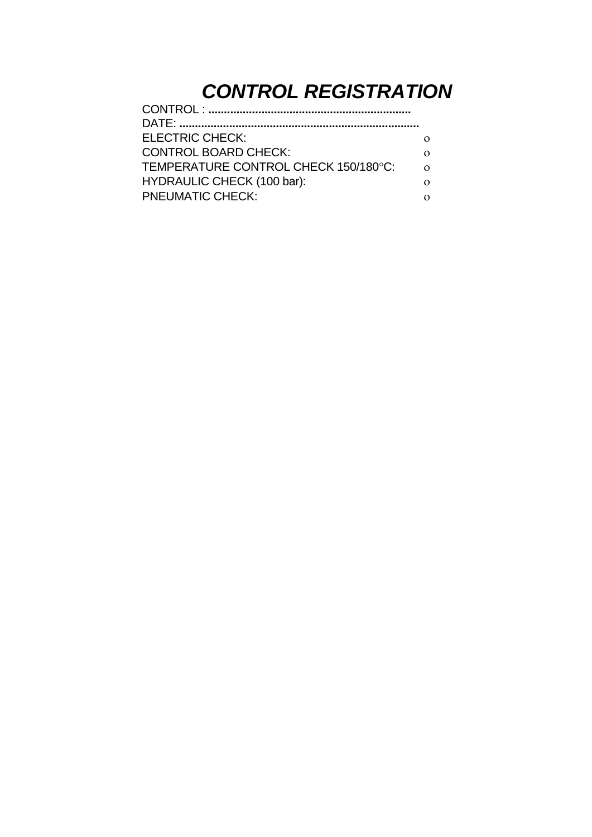# *CONTROL REGISTRATION*

| <b>ELECTRIC CHECK:</b>               | Ω        |
|--------------------------------------|----------|
| <b>CONTROL BOARD CHECK:</b>          | $\Omega$ |
| TEMPERATURE CONTROL CHECK 150/180°C: | $\Omega$ |
| <b>HYDRAULIC CHECK (100 bar):</b>    | $\Omega$ |
| <b>PNEUMATIC CHECK:</b>              | $\Omega$ |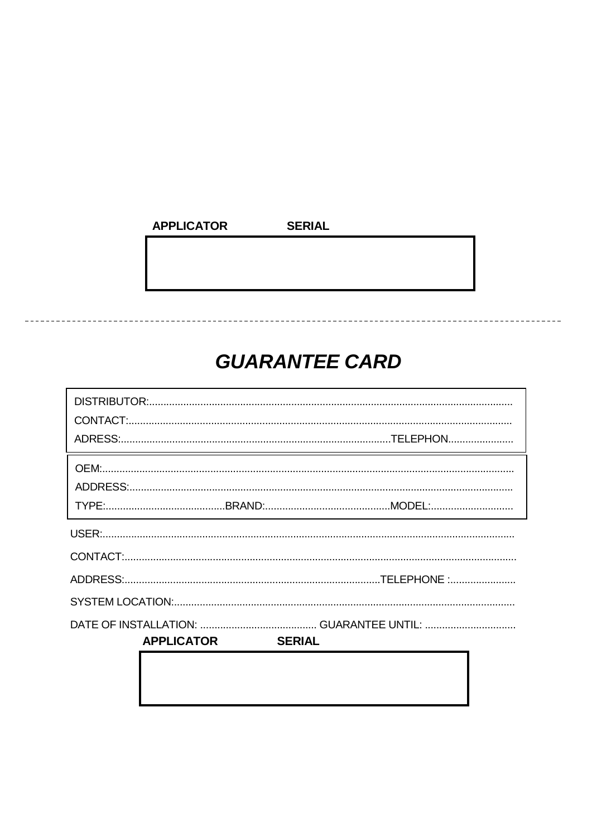#### **APPLICATOR SERIAL**

\_\_\_\_\_\_\_\_\_\_\_\_\_\_\_\_\_\_\_\_\_\_\_\_\_\_\_\_\_\_\_\_\_

# **GUARANTEE CARD**

| <b>APPLICATOR</b> | <b>SERIAL</b> |  |
|-------------------|---------------|--|
|                   |               |  |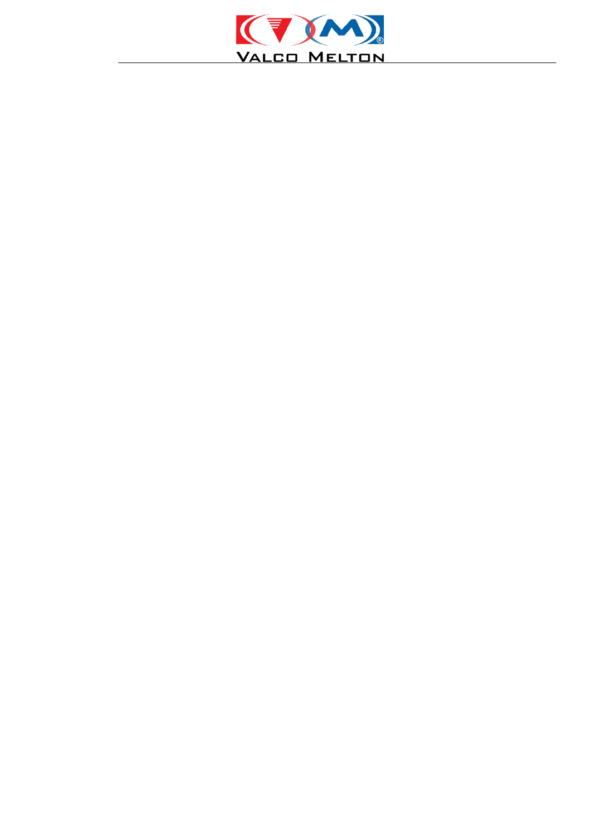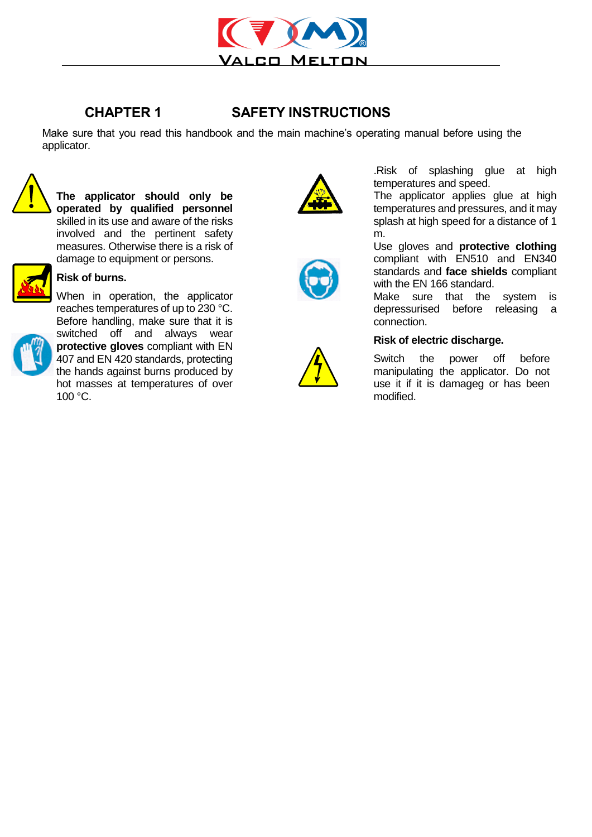

# **CHAPTER 1 SAFETY INSTRUCTIONS**

Make sure that you read this handbook and the main machine's operating manual before using the applicator.



**The applicator should only be operated by qualified personnel**  skilled in its use and aware of the risks involved and the pertinent safety measures. Otherwise there is a risk of damage to equipment or persons.



## **Risk of burns.**

When in operation, the applicator reaches temperatures of up to 230 °C. Before handling, make sure that it is switched off and always wear **protective gloves** compliant with EN 407 and EN 420 standards, protecting the hands against burns produced by hot masses at temperatures of over 100 °C.





.Risk of splashing glue at high temperatures and speed.

The applicator applies glue at high temperatures and pressures, and it may splash at high speed for a distance of 1 m.

Use gloves and **protective clothing** compliant with EN510 and EN340 standards and **face shields** compliant with the EN 166 standard.

Make sure that the system is depressurised before releasing a connection.

### **Risk of electric discharge.**



Switch the power off before manipulating the applicator. Do not use it if it is damageg or has been modified.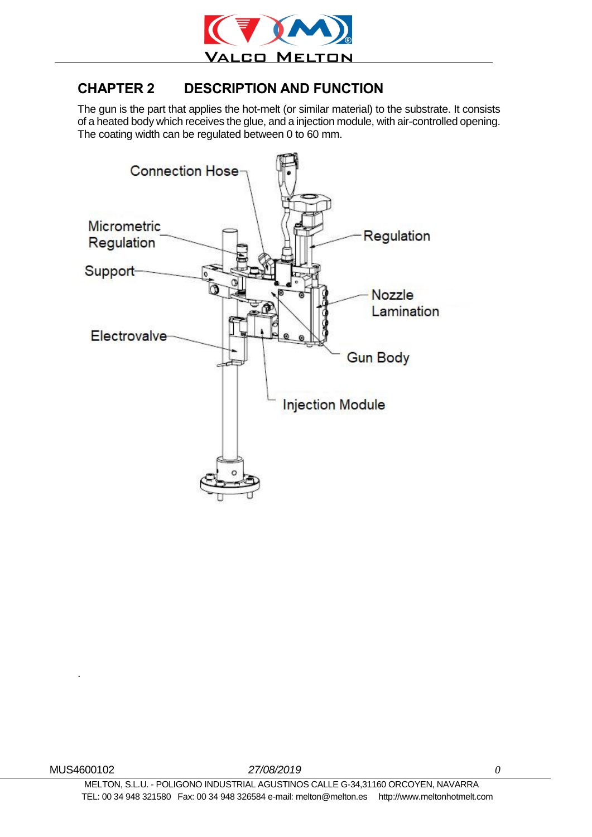

# **CHAPTER 2 DESCRIPTION AND FUNCTION**

The gun is the part that applies the hot-melt (or similar material) to the substrate. It consists of a heated body which receives the glue, and a injection module, with air-controlled opening. The coating width can be regulated between 0 to 60 mm.



.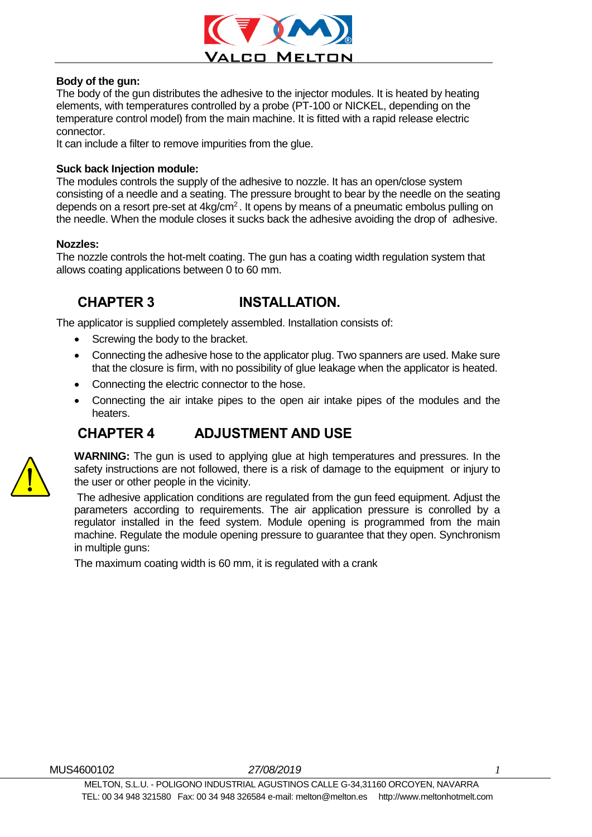

### **Body of the gun:**

The body of the gun distributes the adhesive to the injector modules. It is heated by heating elements, with temperatures controlled by a probe (PT-100 or NICKEL, depending on the temperature control model) from the main machine. It is fitted with a rapid release electric connector.

It can include a filter to remove impurities from the glue.

### **Suck back Injection module:**

The modules controls the supply of the adhesive to nozzle. It has an open/close system consisting of a needle and a seating. The pressure brought to bear by the needle on the seating depends on a resort pre-set at 4kg/cm<sup>2</sup>. It opens by means of a pneumatic embolus pulling on the needle. When the module closes it sucks back the adhesive avoiding the drop of adhesive.

### **Nozzles:**

The nozzle controls the hot-melt coating. The gun has a coating width regulation system that allows coating applications between 0 to 60 mm.

# **CHAPTER 3 INSTALLATION.**

The applicator is supplied completely assembled. Installation consists of:

- Screwing the body to the bracket.
- Connecting the adhesive hose to the applicator plug. Two spanners are used. Make sure that the closure is firm, with no possibility of glue leakage when the applicator is heated.
- Connecting the electric connector to the hose.
- Connecting the air intake pipes to the open air intake pipes of the modules and the heaters.

# **CHAPTER 4 ADJUSTMENT AND USE**



**WARNING:** The gun is used to applying glue at high temperatures and pressures. In the safety instructions are not followed, there is a risk of damage to the equipment or injury to the user or other people in the vicinity.

The adhesive application conditions are regulated from the gun feed equipment. Adjust the parameters according to requirements. The air application pressure is conrolled by a regulator installed in the feed system. Module opening is programmed from the main machine. Regulate the module opening pressure to guarantee that they open. Synchronism in multiple guns:

The maximum coating width is 60 mm, it is regulated with a crank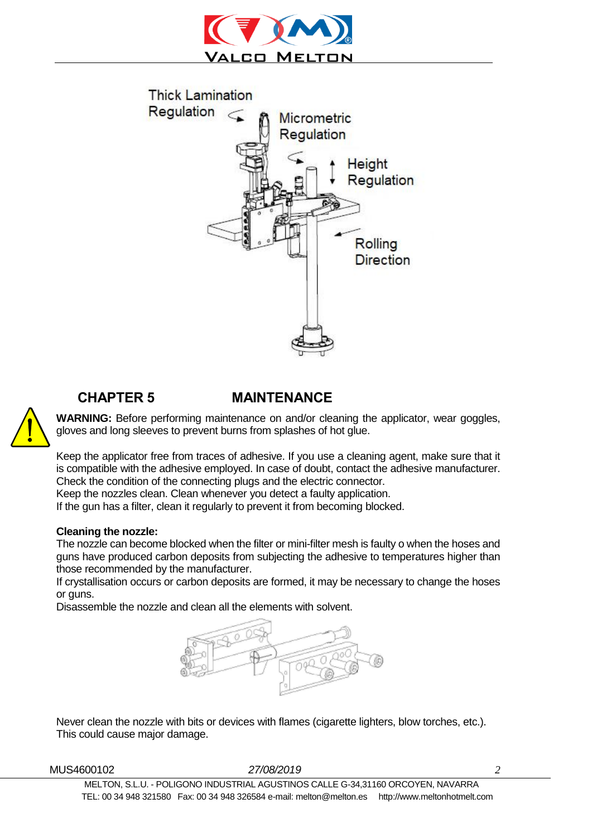



# **CHAPTER 5 MAINTENANCE**

**WARNING:** Before performing maintenance on and/or cleaning the applicator, wear goggles, gloves and long sleeves to prevent burns from splashes of hot glue.

Keep the applicator free from traces of adhesive. If you use a cleaning agent, make sure that it is compatible with the adhesive employed. In case of doubt, contact the adhesive manufacturer. Check the condition of the connecting plugs and the electric connector.

Keep the nozzles clean. Clean whenever you detect a faulty application.

If the gun has a filter, clean it regularly to prevent it from becoming blocked.

#### **Cleaning the nozzle:**

The nozzle can become blocked when the filter or mini-filter mesh is faulty o when the hoses and guns have produced carbon deposits from subjecting the adhesive to temperatures higher than those recommended by the manufacturer.

If crystallisation occurs or carbon deposits are formed, it may be necessary to change the hoses or guns.

Disassemble the nozzle and clean all the elements with solvent.



Never clean the nozzle with bits or devices with flames (cigarette lighters, blow torches, etc.). This could cause major damage.

MUS4600102 *27/08/2019 2*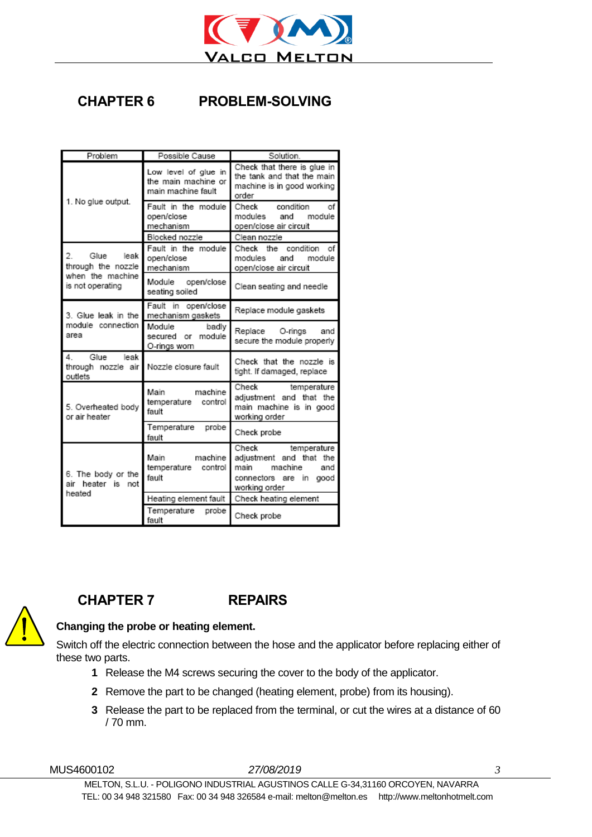

# **CHAPTER 6 PROBLEM-SOLVING**

| Problem                                                                                | Possible Cause                                                    | Solution.                                                                                                            |  |  |
|----------------------------------------------------------------------------------------|-------------------------------------------------------------------|----------------------------------------------------------------------------------------------------------------------|--|--|
| 1. No glue output.                                                                     | Low level of glue in<br>the main machine or<br>main machine fault | Check that there is glue in<br>the tank and that the main<br>machine is in good working<br>order                     |  |  |
|                                                                                        | Fault in the module<br>open/close<br>mechanism                    | condition<br>Check<br>of<br>and module<br>modules<br>open/close air circuit                                          |  |  |
|                                                                                        | Blocked nozzle                                                    | Clean nozzle                                                                                                         |  |  |
| Glue leak<br>$2^{\circ}$<br>through the nozzle<br>when the machine<br>is not operating | Fault in the module<br>open/close<br>mechanism                    | Check the condition of<br>and<br>module<br>modules<br>open/close air circuit                                         |  |  |
|                                                                                        | Module<br>open/close<br>seating soiled                            | Clean seating and needle                                                                                             |  |  |
| 3. Glue leak in the I<br>module connection<br>area                                     | Fault in open/close<br>mechanism gaskets                          | Replace module gaskets                                                                                               |  |  |
|                                                                                        | Module<br>badly<br>secured or module<br>O-rings worn              | Replace O-rings<br>and<br>secure the module properly                                                                 |  |  |
| 4.<br>Glue<br>leak<br>through nozzle air<br>outlets                                    | Nozzle closure fault                                              | Check that the nozzle is<br>tight. If damaged, replace                                                               |  |  |
| 5. Overheated body<br>or air heater                                                    | Main<br>machine<br>temperature<br>control<br>fault                | Check<br>temperature<br>adjustment and that the<br>main machine is in good<br>working order                          |  |  |
|                                                                                        | Temperature<br>probe<br>fault                                     | Check probe                                                                                                          |  |  |
| 6. The body or the<br>air heater is not<br>heated                                      | Main<br>machine<br>temperature control<br>fault                   | Check<br>temperature<br>adjustment and that the<br>machine<br>main<br>and<br>connectors are in good<br>working order |  |  |
|                                                                                        | Heating element fault                                             | Check heating element                                                                                                |  |  |
|                                                                                        | Temperature<br>probe<br>fault                                     | Check probe                                                                                                          |  |  |

## **CHAPTER 7 REPAIRS**

### **Changing the probe or heating element.**

Switch off the electric connection between the hose and the applicator before replacing either of these two parts.

- **1** Release the M4 screws securing the cover to the body of the applicator.
- **2** Remove the part to be changed (heating element, probe) from its housing).
- **3** Release the part to be replaced from the terminal, or cut the wires at a distance of 60 / 70 mm.

MUS4600102 *27/08/2019 3*